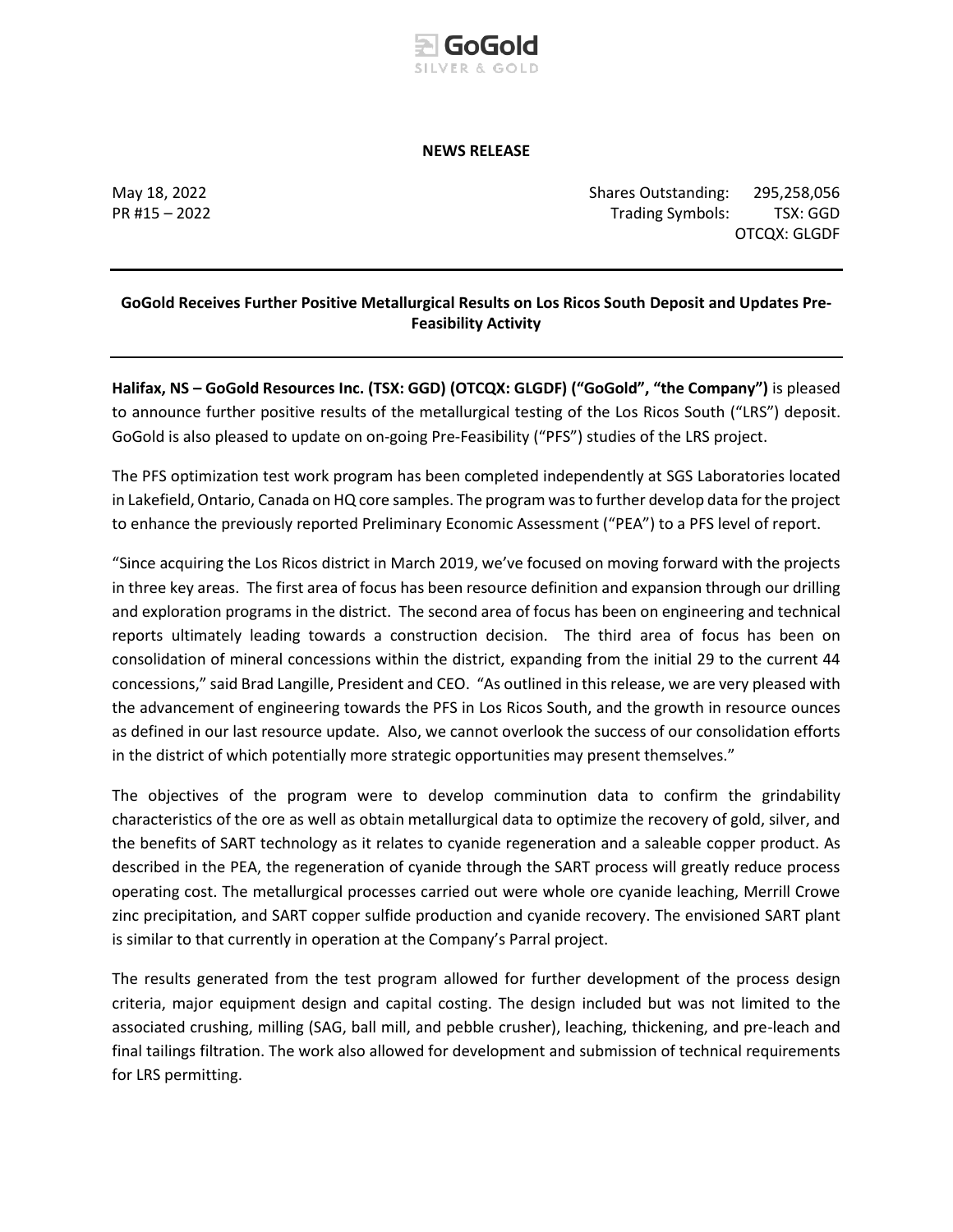

### **NEWS RELEASE**

May 18, 2022 Shares Outstanding: 295,258,056 PR #15 – 2022 Trading Symbols: TSX: GGD OTCQX: GLGDF

# **GoGold Receives Further Positive Metallurgical Results on Los Ricos South Deposit and Updates Pre-Feasibility Activity**

**Halifax, NS – GoGold Resources Inc. (TSX: GGD) (OTCQX: GLGDF) ("GoGold", "the Company")** is pleased to announce further positive results of the metallurgical testing of the Los Ricos South ("LRS") deposit. GoGold is also pleased to update on on-going Pre-Feasibility ("PFS") studies of the LRS project.

The PFS optimization test work program has been completed independently at SGS Laboratories located in Lakefield, Ontario, Canada on HQ core samples. The program was to further develop data for the project to enhance the previously reported Preliminary Economic Assessment ("PEA") to a PFS level of report.

"Since acquiring the Los Ricos district in March 2019, we've focused on moving forward with the projects in three key areas. The first area of focus has been resource definition and expansion through our drilling and exploration programs in the district. The second area of focus has been on engineering and technical reports ultimately leading towards a construction decision. The third area of focus has been on consolidation of mineral concessions within the district, expanding from the initial 29 to the current 44 concessions," said Brad Langille, President and CEO. "As outlined in this release, we are very pleased with the advancement of engineering towards the PFS in Los Ricos South, and the growth in resource ounces as defined in our last resource update. Also, we cannot overlook the success of our consolidation efforts in the district of which potentially more strategic opportunities may present themselves."

The objectives of the program were to develop comminution data to confirm the grindability characteristics of the ore as well as obtain metallurgical data to optimize the recovery of gold, silver, and the benefits of SART technology as it relates to cyanide regeneration and a saleable copper product. As described in the PEA, the regeneration of cyanide through the SART process will greatly reduce process operating cost. The metallurgical processes carried out were whole ore cyanide leaching, Merrill Crowe zinc precipitation, and SART copper sulfide production and cyanide recovery. The envisioned SART plant is similar to that currently in operation at the Company's Parral project.

The results generated from the test program allowed for further development of the process design criteria, major equipment design and capital costing. The design included but was not limited to the associated crushing, milling (SAG, ball mill, and pebble crusher), leaching, thickening, and pre-leach and final tailings filtration. The work also allowed for development and submission of technical requirements for LRS permitting.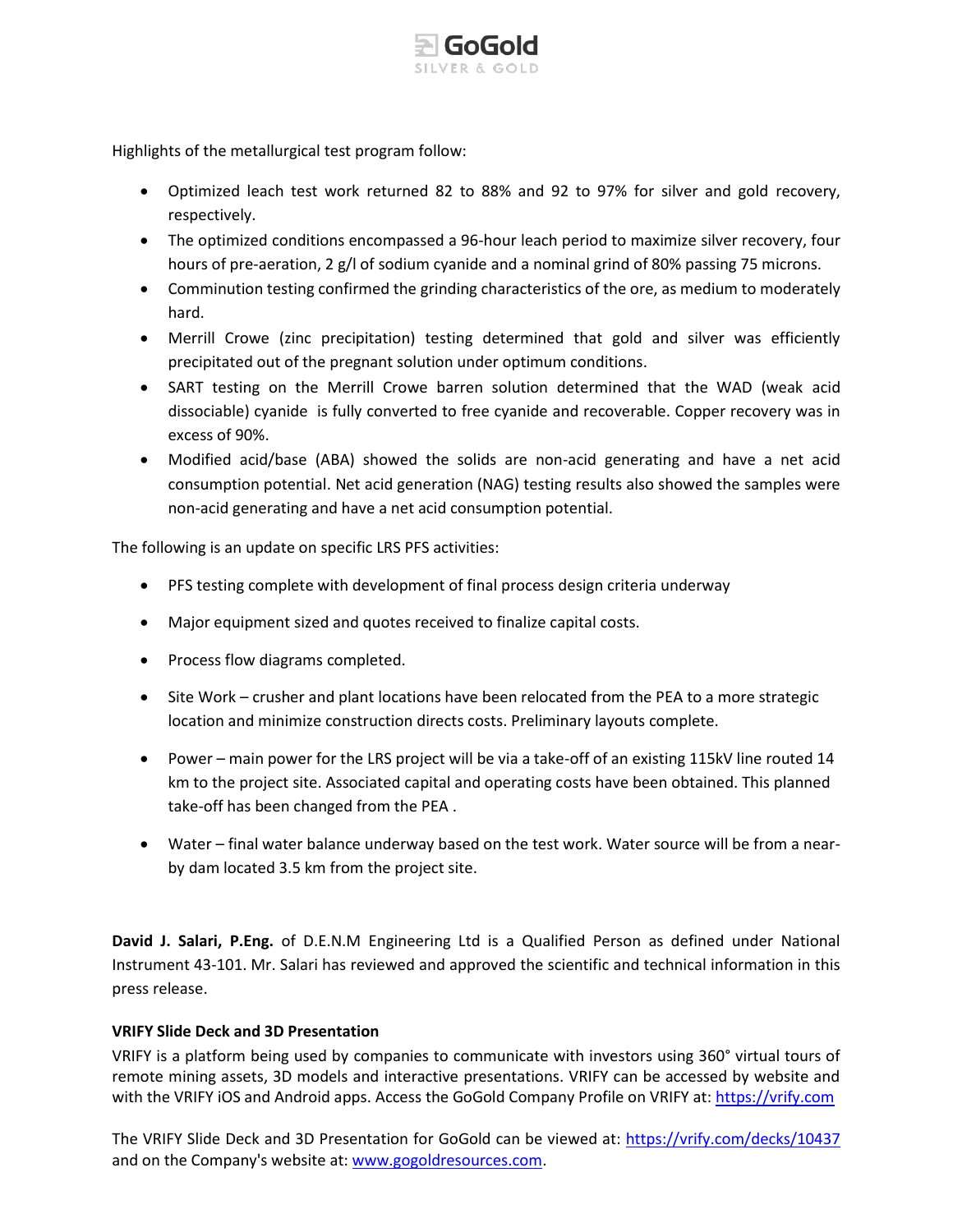

Highlights of the metallurgical test program follow:

- Optimized leach test work returned 82 to 88% and 92 to 97% for silver and gold recovery, respectively.
- The optimized conditions encompassed a 96-hour leach period to maximize silver recovery, four hours of pre-aeration, 2 g/l of sodium cyanide and a nominal grind of 80% passing 75 microns.
- Comminution testing confirmed the grinding characteristics of the ore, as medium to moderately hard.
- Merrill Crowe (zinc precipitation) testing determined that gold and silver was efficiently precipitated out of the pregnant solution under optimum conditions.
- SART testing on the Merrill Crowe barren solution determined that the WAD (weak acid dissociable) cyanide is fully converted to free cyanide and recoverable. Copper recovery was in excess of 90%.
- Modified acid/base (ABA) showed the solids are non-acid generating and have a net acid consumption potential. Net acid generation (NAG) testing results also showed the samples were non-acid generating and have a net acid consumption potential.

The following is an update on specific LRS PFS activities:

- PFS testing complete with development of final process design criteria underway
- Major equipment sized and quotes received to finalize capital costs.
- Process flow diagrams completed.
- Site Work crusher and plant locations have been relocated from the PEA to a more strategic location and minimize construction directs costs. Preliminary layouts complete.
- Power main power for the LRS project will be via a take-off of an existing 115kV line routed 14 km to the project site. Associated capital and operating costs have been obtained. This planned take-off has been changed from the PEA .
- Water final water balance underway based on the test work. Water source will be from a nearby dam located 3.5 km from the project site.

**David J. Salari, P.Eng.** of D.E.N.M Engineering Ltd is a Qualified Person as defined under National Instrument 43-101. Mr. Salari has reviewed and approved the scientific and technical information in this press release.

# **VRIFY Slide Deck and 3D Presentation**

VRIFY is a platform being used by companies to communicate with investors using 360° virtual tours of remote mining assets, 3D models and interactive presentations. VRIFY can be accessed by website and with the VRIFY iOS and Android apps. Access the GoGold Company Profile on VRIFY at: [https://vrify.com](https://vrify.com/)

The VRIFY Slide Deck and 3D Presentation for GoGold can be viewed at: <https://vrify.com/decks/10437> and on the Company's website at: [www.gogoldresources.com.](http://www.gogoldresources.com/)